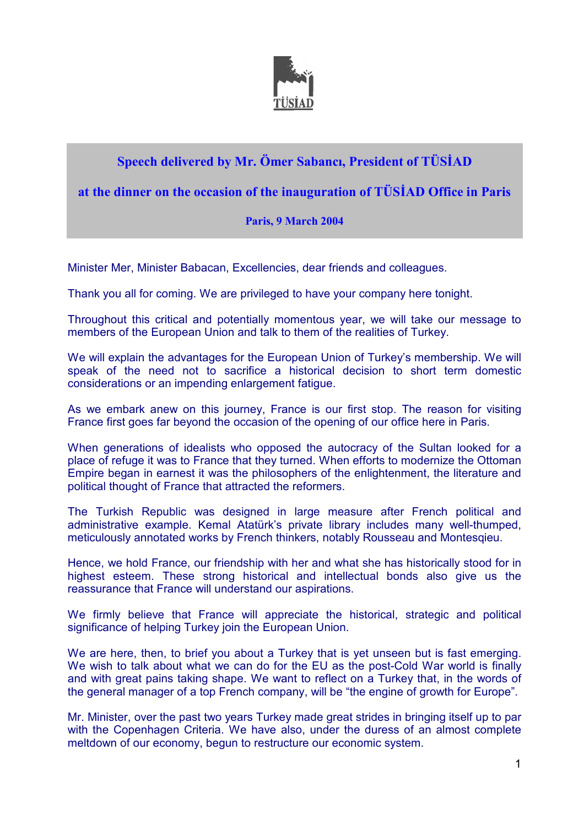

## **Speech delivered by Mr. Ömer Sabancı, President of TÜSİAD**

## **at the dinner on the occasion of the inauguration of TÜSİAD Office in Paris**

## **Paris, 9 March 2004**

Minister Mer, Minister Babacan, Excellencies, dear friends and colleagues.

Thank you all for coming. We are privileged to have your company here tonight.

Throughout this critical and potentially momentous year, we will take our message to members of the European Union and talk to them of the realities of Turkey.

We will explain the advantages for the European Union of Turkey's membership. We will speak of the need not to sacrifice a historical decision to short term domestic considerations or an impending enlargement fatigue.

As we embark anew on this journey, France is our first stop. The reason for visiting France first goes far beyond the occasion of the opening of our office here in Paris.

When generations of idealists who opposed the autocracy of the Sultan looked for a place of refuge it was to France that they turned. When efforts to modernize the Ottoman Empire began in earnest it was the philosophers of the enlightenment, the literature and political thought of France that attracted the reformers.

The Turkish Republic was designed in large measure after French political and administrative example. Kemal Atatürk's private library includes many well-thumped, meticulously annotated works by French thinkers, notably Rousseau and Montesqieu.

Hence, we hold France, our friendship with her and what she has historically stood for in highest esteem. These strong historical and intellectual bonds also give us the reassurance that France will understand our aspirations.

We firmly believe that France will appreciate the historical, strategic and political significance of helping Turkey join the European Union.

We are here, then, to brief you about a Turkey that is yet unseen but is fast emerging. We wish to talk about what we can do for the EU as the post-Cold War world is finally and with great pains taking shape. We want to reflect on a Turkey that, in the words of the general manager of a top French company, will be "the engine of growth for Europe".

Mr. Minister, over the past two years Turkey made great strides in bringing itself up to par with the Copenhagen Criteria. We have also, under the duress of an almost complete meltdown of our economy, begun to restructure our economic system.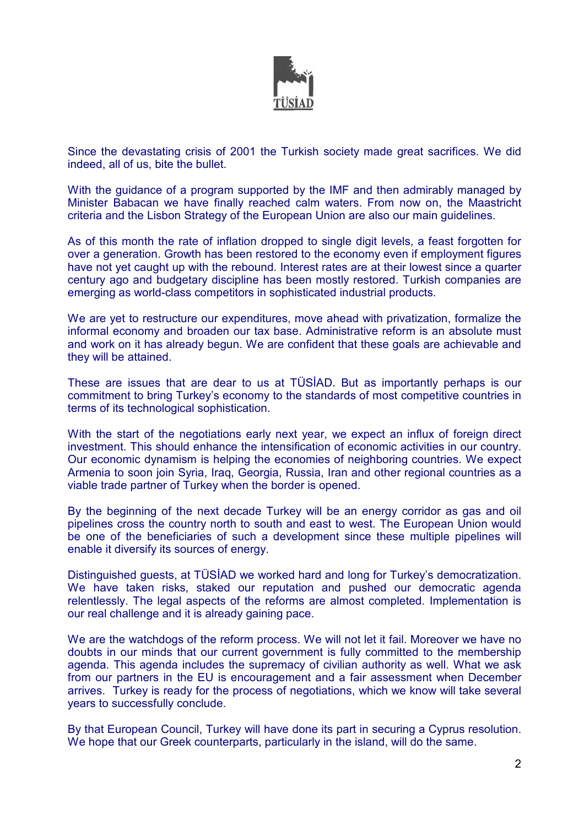

Since the devastating crisis of 2001 the Turkish society made great sacrifices. We did indeed, all of us, bite the bullet.

With the guidance of a program supported by the IMF and then admirably managed by Minister Babacan we have finally reached calm waters. From now on, the Maastricht criteria and the Lisbon Strategy of the European Union are also our main guidelines.

As of this month the rate of inflation dropped to single digit levels, a feast forgotten for over a generation. Growth has been restored to the economy even if employment figures have not yet caught up with the rebound. Interest rates are at their lowest since a quarter century ago and budgetary discipline has been mostly restored. Turkish companies are emerging as world-class competitors in sophisticated industrial products.

We are yet to restructure our expenditures, move ahead with privatization, formalize the informal economy and broaden our tax base. Administrative reform is an absolute must and work on it has already begun. We are confident that these goals are achievable and they will be attained.

These are issues that are dear to us at TÜSİAD. But as importantly perhaps is our commitment to bring Turkey's economy to the standards of most competitive countries in terms of its technological sophistication.

With the start of the negotiations early next year, we expect an influx of foreign direct investment. This should enhance the intensification of economic activities in our country. Our economic dynamism is helping the economies of neighboring countries. We expect Armenia to soon join Syria, Iraq, Georgia, Russia, Iran and other regional countries as a viable trade partner of Turkey when the border is opened.

By the beginning of the next decade Turkey will be an energy corridor as gas and oil pipelines cross the country north to south and east to west. The European Union would be one of the beneficiaries of such a development since these multiple pipelines will enable it diversify its sources of energy.

Distinguished guests, at TÜSİAD we worked hard and long for Turkey's democratization. We have taken risks, staked our reputation and pushed our democratic agenda relentlessly. The legal aspects of the reforms are almost completed. Implementation is our real challenge and it is already gaining pace.

We are the watchdogs of the reform process. We will not let it fail. Moreover we have no doubts in our minds that our current government is fully committed to the membership agenda. This agenda includes the supremacy of civilian authority as well. What we ask from our partners in the EU is encouragement and a fair assessment when December arrives. Turkey is ready for the process of negotiations, which we know will take several years to successfully conclude.

By that European Council, Turkey will have done its part in securing a Cyprus resolution. We hope that our Greek counterparts, particularly in the island, will do the same.